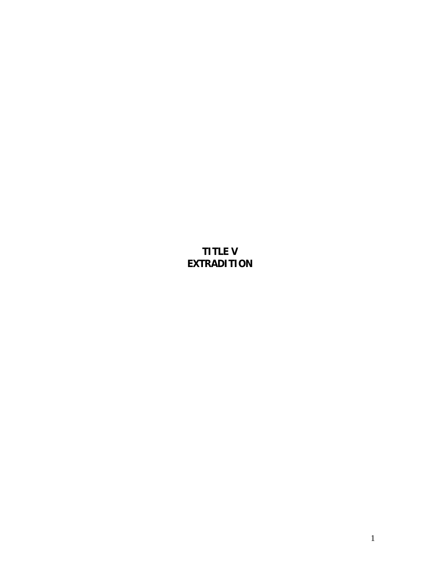**TITLE V EXTRADITION**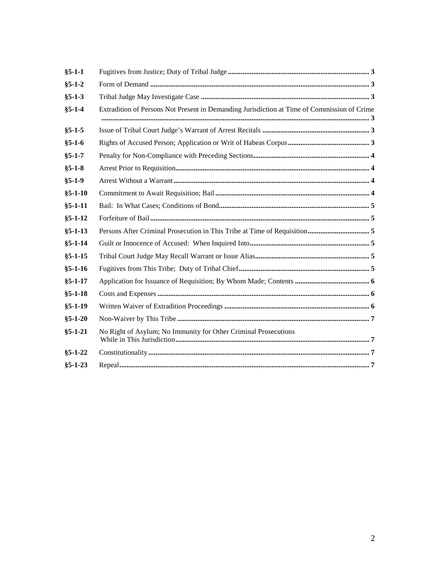| $§5 - 1 - 1$  |                                                                                             |  |
|---------------|---------------------------------------------------------------------------------------------|--|
| $§5 - 1 - 2$  |                                                                                             |  |
| $§5 - 1 - 3$  |                                                                                             |  |
| $§ 5 - 1 - 4$ | Extradition of Persons Not Present in Demanding Jurisdiction at Time of Commission of Crime |  |
| $§5 - 1 - 5$  |                                                                                             |  |
| $§5-1-6$      |                                                                                             |  |
| $§5 - 1 - 7$  |                                                                                             |  |
| $§5-1-8$      |                                                                                             |  |
| $§5-1-9$      |                                                                                             |  |
| $§5 - 1 - 10$ |                                                                                             |  |
| $§5 - 1 - 11$ |                                                                                             |  |
| $§5 - 1 - 12$ |                                                                                             |  |
| $§5 - 1 - 13$ |                                                                                             |  |
| $§5 - 1 - 14$ |                                                                                             |  |
| $§5 - 1 - 15$ |                                                                                             |  |
| $$5-1-16$     |                                                                                             |  |
| $§5 - 1 - 17$ |                                                                                             |  |
| $§5-1-18$     |                                                                                             |  |
| $§5-1-19$     |                                                                                             |  |
| $§5 - 1 - 20$ |                                                                                             |  |
| $§5 - 1 - 21$ | No Right of Asylum; No Immunity for Other Criminal Prosecutions                             |  |
| $§5 - 1 - 22$ |                                                                                             |  |
| $§5 - 1 - 23$ |                                                                                             |  |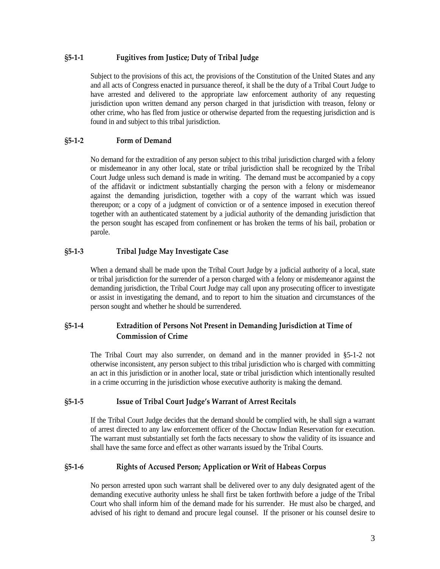## <span id="page-2-0"></span>**§5-1-1 Fugitives from Justice; Duty of Tribal Judge**

Subject to the provisions of this act, the provisions of the Constitution of the United States and any and all acts of Congress enacted in pursuance thereof, it shall be the duty of a Tribal Court Judge to have arrested and delivered to the appropriate law enforcement authority of any requesting jurisdiction upon written demand any person charged in that jurisdiction with treason, felony or other crime, who has fled from justice or otherwise departed from the requesting jurisdiction and is found in and subject to this tribal jurisdiction.

## <span id="page-2-1"></span>**§5-1-2 Form of Demand**

No demand for the extradition of any person subject to this tribal jurisdiction charged with a felony or misdemeanor in any other local, state or tribal jurisdiction shall be recognized by the Tribal Court Judge unless such demand is made in writing. The demand must be accompanied by a copy of the affidavit or indictment substantially charging the person with a felony or misdemeanor against the demanding jurisdiction, together with a copy of the warrant which was issued thereupon; or a copy of a judgment of conviction or of a sentence imposed in execution thereof together with an authenticated statement by a judicial authority of the demanding jurisdiction that the person sought has escaped from confinement or has broken the terms of his bail, probation or parole.

# <span id="page-2-2"></span>**§5-1-3 Tribal Judge May Investigate Case**

When a demand shall be made upon the Tribal Court Judge by a judicial authority of a local, state or tribal jurisdiction for the surrender of a person charged with a felony or misdemeanor against the demanding jurisdiction, the Tribal Court Judge may call upon any prosecuting officer to investigate or assist in investigating the demand, and to report to him the situation and circumstances of the person sought and whether he should be surrendered.

# <span id="page-2-3"></span>**§5-1-4 Extradition of Persons Not Present in Demanding Jurisdiction at Time of Commission of Crime**

The Tribal Court may also surrender, on demand and in the manner provided in §5-1-2 not otherwise inconsistent, any person subject to this tribal jurisdiction who is charged with committing an act in this jurisdiction or in another local, state or tribal jurisdiction which intentionally resulted in a crime occurring in the jurisdiction whose executive authority is making the demand.

## <span id="page-2-4"></span>**§5-1-5 Issue of Tribal Court Judge's Warrant of Arrest Recitals**

If the Tribal Court Judge decides that the demand should be complied with, he shall sign a warrant of arrest directed to any law enforcement officer of the Choctaw Indian Reservation for execution. The warrant must substantially set forth the facts necessary to show the validity of its issuance and shall have the same force and effect as other warrants issued by the Tribal Courts.

# <span id="page-2-5"></span>**§5-1-6 Rights of Accused Person; Application or Writ of Habeas Corpus**

No person arrested upon such warrant shall be delivered over to any duly designated agent of the demanding executive authority unless he shall first be taken forthwith before a judge of the Tribal Court who shall inform him of the demand made for his surrender. He must also be charged, and advised of his right to demand and procure legal counsel. If the prisoner or his counsel desire to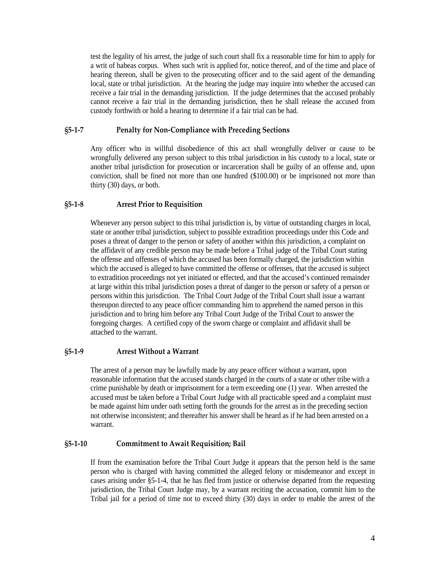test the legality of his arrest, the judge of such court shall fix a reasonable time for him to apply for a writ of habeas corpus. When such writ is applied for, notice thereof, and of the time and place of hearing thereon, shall be given to the prosecuting officer and to the said agent of the demanding local, state or tribal jurisdiction. At the hearing the judge may inquire into whether the accused can receive a fair trial in the demanding jurisdiction. If the judge determines that the accused probably cannot receive a fair trial in the demanding jurisdiction, then he shall release the accused from custody forthwith or hold a hearing to determine if a fair trial can be had.

## <span id="page-3-0"></span>**§5-1-7 Penalty for Non-Compliance with Preceding Sections**

Any officer who in willful disobedience of this act shall wrongfully deliver or cause to be wrongfully delivered any person subject to this tribal jurisdiction in his custody to a local, state or another tribal jurisdiction for prosecution or incarceration shall be guilty of an offense and, upon conviction, shall be fined not more than one hundred (\$100.00) or be imprisoned not more than thirty (30) days, or both.

## <span id="page-3-1"></span>**§5-1-8 Arrest Prior to Requisition**

Whenever any person subject to this tribal jurisdiction is, by virtue of outstanding charges in local, state or another tribal jurisdiction, subject to possible extradition proceedings under this Code and poses a threat of danger to the person or safety of another within this jurisdiction, a complaint on the affidavit of any credible person may be made before a Tribal judge of the Tribal Court stating the offense and offenses of which the accused has been formally charged, the jurisdiction within which the accused is alleged to have committed the offense or offenses, that the accused is subject to extradition proceedings not yet initiated or effected, and that the accused's continued remainder at large within this tribal jurisdiction poses a threat of danger to the person or safety of a person or persons within this jurisdiction. The Tribal Court Judge of the Tribal Court shall issue a warrant thereupon directed to any peace officer commanding him to apprehend the named person in this jurisdiction and to bring him before any Tribal Court Judge of the Tribal Court to answer the foregoing charges. A certified copy of the sworn charge or complaint and affidavit shall be attached to the warrant.

## <span id="page-3-2"></span>**§5-1-9 Arrest Without a Warrant**

The arrest of a person may be lawfully made by any peace officer without a warrant, upon reasonable information that the accused stands charged in the courts of a state or other tribe with a crime punishable by death or imprisonment for a term exceeding one (1) year. When arrested the accused must be taken before a Tribal Court Judge with all practicable speed and a complaint must be made against him under oath setting forth the grounds for the arrest as in the preceding section not otherwise inconsistent; and thereafter his answer shall be heard as if he had been arrested on a warrant.

## <span id="page-3-3"></span>**§5-1-10 Commitment to Await Requisition; Bail**

If from the examination before the Tribal Court Judge it appears that the person held is the same person who is charged with having committed the alleged felony or misdemeanor and except in cases arising under §5-1-4, that he has fled from justice or otherwise departed from the requesting jurisdiction, the Tribal Court Judge may, by a warrant reciting the accusation, commit him to the Tribal jail for a period of time not to exceed thirty (30) days in order to enable the arrest of the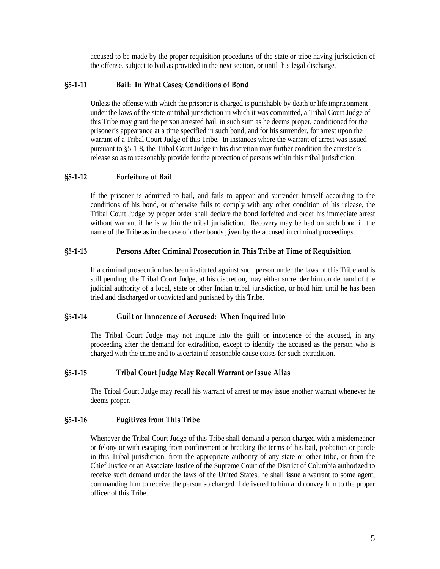accused to be made by the proper requisition procedures of the state or tribe having jurisdiction of the offense, subject to bail as provided in the next section, or until his legal discharge.

## <span id="page-4-0"></span>**§5-1-11 Bail: In What Cases; Conditions of Bond**

Unless the offense with which the prisoner is charged is punishable by death or life imprisonment under the laws of the state or tribal jurisdiction in which it was committed, a Tribal Court Judge of this Tribe may grant the person arrested bail, in such sum as he deems proper, conditioned for the prisoner's appearance at a time specified in such bond, and for his surrender, for arrest upon the warrant of a Tribal Court Judge of this Tribe. In instances where the warrant of arrest was issued pursuant to §5-1-8, the Tribal Court Judge in his discretion may further condition the arrestee's release so as to reasonably provide for the protection of persons within this tribal jurisdiction.

## <span id="page-4-1"></span>**§5-1-12 Forfeiture of Bail**

If the prisoner is admitted to bail, and fails to appear and surrender himself according to the conditions of his bond, or otherwise fails to comply with any other condition of his release, the Tribal Court Judge by proper order shall declare the bond forfeited and order his immediate arrest without warrant if he is within the tribal jurisdiction. Recovery may be had on such bond in the name of the Tribe as in the case of other bonds given by the accused in criminal proceedings.

### <span id="page-4-2"></span>**§5-1-13 Persons After Criminal Prosecution in This Tribe at Time of Requisition**

If a criminal prosecution has been instituted against such person under the laws of this Tribe and is still pending, the Tribal Court Judge, at his discretion, may either surrender him on demand of the judicial authority of a local, state or other Indian tribal jurisdiction, or hold him until he has been tried and discharged or convicted and punished by this Tribe.

#### <span id="page-4-3"></span>**§5-1-14 Guilt or Innocence of Accused: When Inquired Into**

The Tribal Court Judge may not inquire into the guilt or innocence of the accused, in any proceeding after the demand for extradition, except to identify the accused as the person who is charged with the crime and to ascertain if reasonable cause exists for such extradition.

### <span id="page-4-4"></span>**§5-1-15 Tribal Court Judge May Recall Warrant or Issue Alias**

The Tribal Court Judge may recall his warrant of arrest or may issue another warrant whenever he deems proper.

## <span id="page-4-5"></span>**§5-1-16 Fugitives from This Tribe**

Whenever the Tribal Court Judge of this Tribe shall demand a person charged with a misdemeanor or felony or with escaping from confinement or breaking the terms of his bail, probation or parole in this Tribal jurisdiction, from the appropriate authority of any state or other tribe, or from the Chief Justice or an Associate Justice of the Supreme Court of the District of Columbia authorized to receive such demand under the laws of the United States, he shall issue a warrant to some agent, commanding him to receive the person so charged if delivered to him and convey him to the proper officer of this Tribe.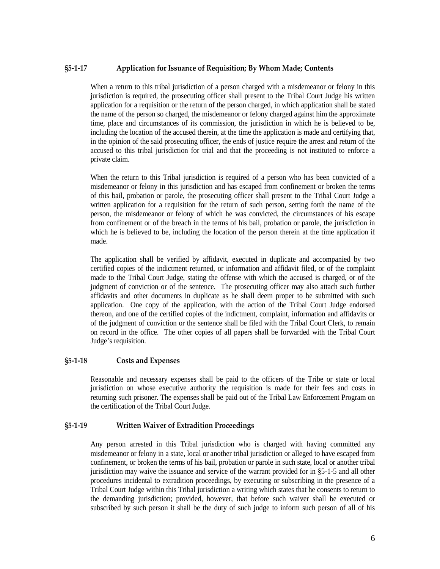## <span id="page-5-0"></span>**§5-1-17 Application for Issuance of Requisition; By Whom Made; Contents**

When a return to this tribal jurisdiction of a person charged with a misdemeanor or felony in this jurisdiction is required, the prosecuting officer shall present to the Tribal Court Judge his written application for a requisition or the return of the person charged, in which application shall be stated the name of the person so charged, the misdemeanor or felony charged against him the approximate time, place and circumstances of its commission, the jurisdiction in which he is believed to be, including the location of the accused therein, at the time the application is made and certifying that, in the opinion of the said prosecuting officer, the ends of justice require the arrest and return of the accused to this tribal jurisdiction for trial and that the proceeding is not instituted to enforce a private claim.

When the return to this Tribal jurisdiction is required of a person who has been convicted of a misdemeanor or felony in this jurisdiction and has escaped from confinement or broken the terms of this bail, probation or parole, the prosecuting officer shall present to the Tribal Court Judge a written application for a requisition for the return of such person, setting forth the name of the person, the misdemeanor or felony of which he was convicted, the circumstances of his escape from confinement or of the breach in the terms of his bail, probation or parole, the jurisdiction in which he is believed to be, including the location of the person therein at the time application if made.

The application shall be verified by affidavit, executed in duplicate and accompanied by two certified copies of the indictment returned, or information and affidavit filed, or of the complaint made to the Tribal Court Judge, stating the offense with which the accused is charged, or of the judgment of conviction or of the sentence. The prosecuting officer may also attach such further affidavits and other documents in duplicate as he shall deem proper to be submitted with such application. One copy of the application, with the action of the Tribal Court Judge endorsed thereon, and one of the certified copies of the indictment, complaint, information and affidavits or of the judgment of conviction or the sentence shall be filed with the Tribal Court Clerk, to remain on record in the office. The other copies of all papers shall be forwarded with the Tribal Court Judge's requisition.

#### <span id="page-5-1"></span>**§5-1-18 Costs and Expenses**

Reasonable and necessary expenses shall be paid to the officers of the Tribe or state or local jurisdiction on whose executive authority the requisition is made for their fees and costs in returning such prisoner. The expenses shall be paid out of the Tribal Law Enforcement Program on the certification of the Tribal Court Judge.

#### <span id="page-5-2"></span>**§5-1-19 Written Waiver of Extradition Proceedings**

Any person arrested in this Tribal jurisdiction who is charged with having committed any misdemeanor or felony in a state, local or another tribal jurisdiction or alleged to have escaped from confinement, or broken the terms of his bail, probation or parole in such state, local or another tribal jurisdiction may waive the issuance and service of the warrant provided for in §5-1-5 and all other procedures incidental to extradition proceedings, by executing or subscribing in the presence of a Tribal Court Judge within this Tribal jurisdiction a writing which states that he consents to return to the demanding jurisdiction; provided, however, that before such waiver shall be executed or subscribed by such person it shall be the duty of such judge to inform such person of all of his